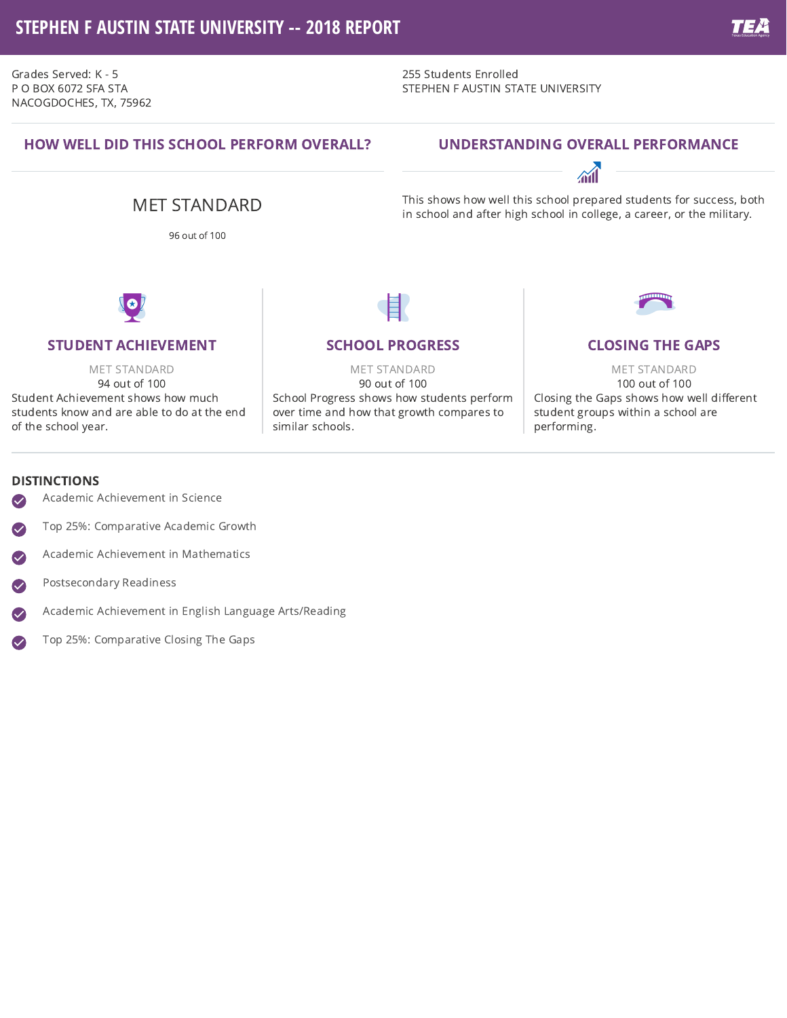# **STEPHEN F AUSTIN STATE UNIVERSITY -- 2018 REPORT**

Grades Served: K - 5 P O BOX 6072 SFA STA NACOGDOCHES, TX, 75962 255 Students Enrolled STEPHEN F AUSTIN STATE UNIVERSITY

## HOW WELL DID THIS SCHOOL PERFORM OVERALL?

## UNDERSTANDING OVERALL PERFORMANCE



This shows how well this school prepared students for success, both in school and after high school in college, a career, or the military.

96 out of 100

MET STANDARD



### STUDENT ACHIEVEMENT

MET STANDARD 94 out of 100 Student Achievement shows how much students know and are able to do at the end of the school year.

## SCHOOL PROGRESS

MET STANDARD 90 out of 100 School Progress shows how students perform over time and how that growth compares to similar schools.



MET STANDARD 100 out of 100 Closing the Gaps shows how well different student groups within a school are performing.

#### DISTINCTIONS

- Academic Achievement in Science  $\sim$
- Top 25%: Comparative Academic Growth  $\blacktriangledown$
- Academic Achievement in Mathematics  $\bullet$
- Postsecondary Readiness  $\sim$
- Academic Achievement in English Language Arts/Reading
- Top 25%: Comparative Closing The Gaps